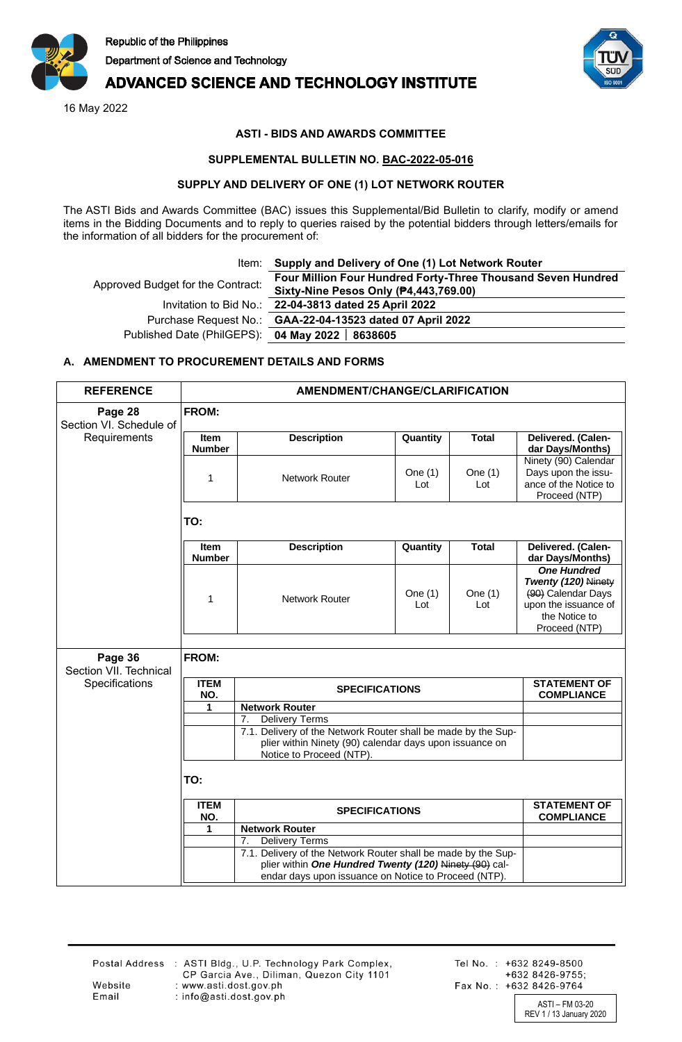

# **ADVANCED SCIENCE AND TECHNOLOGY INSTITUTE**

16 May 2022



## **ASTI - BIDS AND AWARDS COMMITTEE**

#### **SUPPLEMENTAL BULLETIN NO. BAC-2022-05-016**

#### **SUPPLY AND DELIVERY OF ONE (1) LOT NETWORK ROUTER**

The ASTI Bids and Awards Committee (BAC) issues this Supplemental/Bid Bulletin to clarify, modify or amend items in the Bidding Documents and to reply to queries raised by the potential bidders through letters/emails for the information of all bidders for the procurement of:

|  | Item: Supply and Delivery of One (1) Lot Network Router |  |  |  |  |  |
|--|---------------------------------------------------------|--|--|--|--|--|
|  |                                                         |  |  |  |  |  |

| Approved Budget for the Contract:                | Four Million Four Hundred Forty-Three Thousand Seven Hundred<br>Sixty-Nine Pesos Only (P4,443,769.00) |  |  |  |
|--------------------------------------------------|-------------------------------------------------------------------------------------------------------|--|--|--|
|                                                  | Invitation to Bid No.: 22-04-3813 dated 25 April 2022                                                 |  |  |  |
|                                                  | Purchase Request No.: GAA-22-04-13523 dated 07 April 2022                                             |  |  |  |
| Published Date (PhilGEPS): 04 May 2022   8638605 |                                                                                                       |  |  |  |

## **A. AMENDMENT TO PROCUREMENT DETAILS AND FORMS**

| <b>REFERENCE</b>                   | <b>AMENDMENT/CHANGE/CLARIFICATION</b>               |                                                                                                                                                                                       |                                          |                  |                                                                                                                           |  |  |
|------------------------------------|-----------------------------------------------------|---------------------------------------------------------------------------------------------------------------------------------------------------------------------------------------|------------------------------------------|------------------|---------------------------------------------------------------------------------------------------------------------------|--|--|
| Page 28<br>Section VI. Schedule of | FROM:                                               |                                                                                                                                                                                       |                                          |                  |                                                                                                                           |  |  |
| Requirements                       | <b>Item</b><br><b>Number</b>                        | <b>Description</b>                                                                                                                                                                    | Quantity                                 | <b>Total</b>     | Delivered. (Calen-<br>dar Days/Months)                                                                                    |  |  |
|                                    | 1                                                   | Network Router                                                                                                                                                                        | One $(1)$<br>Lot                         | One $(1)$<br>Lot | Ninety (90) Calendar<br>Days upon the issu-<br>ance of the Notice to<br>Proceed (NTP)                                     |  |  |
|                                    | TO:                                                 |                                                                                                                                                                                       |                                          |                  |                                                                                                                           |  |  |
|                                    | <b>Item</b><br><b>Number</b>                        | <b>Description</b>                                                                                                                                                                    | Quantity                                 | <b>Total</b>     | Delivered. (Calen-<br>dar Days/Months)                                                                                    |  |  |
|                                    | $\mathbf{1}$                                        | Network Router                                                                                                                                                                        | One $(1)$<br>Lot                         | One $(1)$<br>Lot | <b>One Hundred</b><br>Twenty (120) Ninety<br>(90) Calendar Days<br>upon the issuance of<br>the Notice to<br>Proceed (NTP) |  |  |
| Page 36<br>Section VII. Technical  | <b>FROM:</b>                                        |                                                                                                                                                                                       |                                          |                  |                                                                                                                           |  |  |
| Specifications                     | <b>ITEM</b><br>NO.                                  | <b>SPECIFICATIONS</b>                                                                                                                                                                 | <b>STATEMENT OF</b><br><b>COMPLIANCE</b> |                  |                                                                                                                           |  |  |
|                                    | <b>Network Router</b><br>1                          |                                                                                                                                                                                       |                                          |                  |                                                                                                                           |  |  |
|                                    |                                                     | <b>Delivery Terms</b><br>7.<br>7.1. Delivery of the Network Router shall be made by the Sup-<br>plier within Ninety (90) calendar days upon issuance on<br>Notice to Proceed (NTP).   |                                          |                  |                                                                                                                           |  |  |
|                                    | TO:                                                 |                                                                                                                                                                                       |                                          |                  |                                                                                                                           |  |  |
|                                    | <b>ITEM</b><br>NO.                                  | <b>SPECIFICATIONS</b>                                                                                                                                                                 |                                          |                  | <b>STATEMENT OF</b><br><b>COMPLIANCE</b>                                                                                  |  |  |
|                                    | <b>Network Router</b><br>1<br><b>Delivery Terms</b> |                                                                                                                                                                                       |                                          |                  |                                                                                                                           |  |  |
|                                    |                                                     | 7.<br>7.1. Delivery of the Network Router shall be made by the Sup-<br>plier within One Hundred Twenty (120) Ninety (90) cal-<br>endar days upon issuance on Notice to Proceed (NTP). |                                          |                  |                                                                                                                           |  |  |